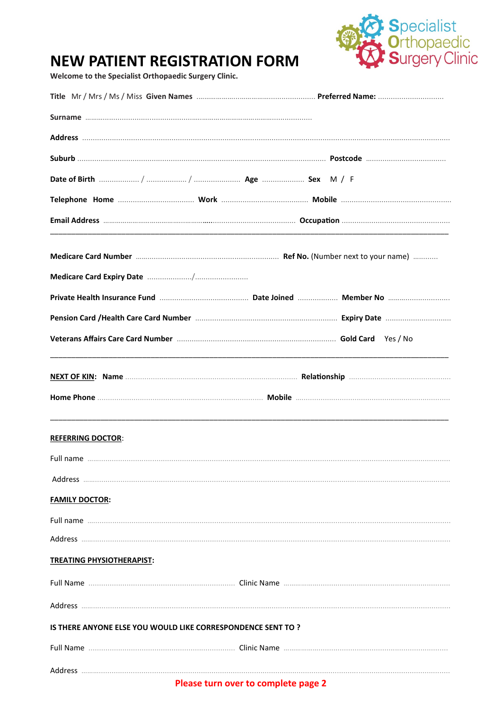

## **NEW PATIENT REGISTRATION FORM**

Welcome to the Specialist Orthopaedic Surgery Clinic.

|                                                              | Private Health Insurance Fund manufacture Date Joined manufacture No manufacture Member No manufacture |  |
|--------------------------------------------------------------|--------------------------------------------------------------------------------------------------------|--|
|                                                              |                                                                                                        |  |
|                                                              |                                                                                                        |  |
|                                                              |                                                                                                        |  |
|                                                              |                                                                                                        |  |
| <b>REFERRING DOCTOR:</b>                                     |                                                                                                        |  |
|                                                              |                                                                                                        |  |
|                                                              |                                                                                                        |  |
| <b>FAMILY DOCTOR:</b>                                        |                                                                                                        |  |
|                                                              |                                                                                                        |  |
|                                                              |                                                                                                        |  |
| <b>TREATING PHYSIOTHERAPIST:</b>                             |                                                                                                        |  |
|                                                              |                                                                                                        |  |
|                                                              |                                                                                                        |  |
| IS THERE ANYONE ELSE YOU WOULD LIKE CORRESPONDENCE SENT TO ? |                                                                                                        |  |
|                                                              |                                                                                                        |  |
|                                                              |                                                                                                        |  |
|                                                              | Please turn over to complete page 2                                                                    |  |